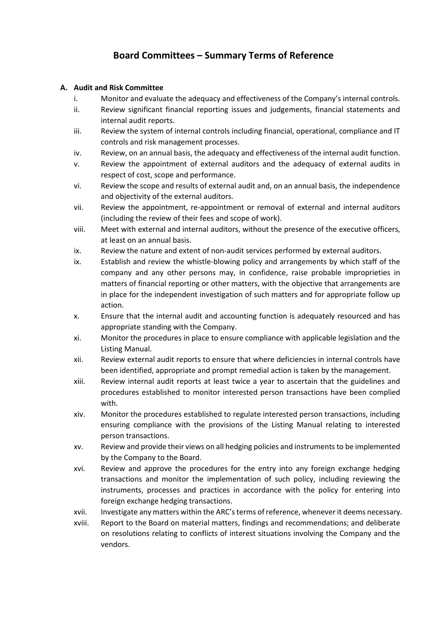# **Board Committees – Summary Terms of Reference**

## **A. Audit and Risk Committee**

- i. Monitor and evaluate the adequacy and effectiveness of the Company's internal controls.
- ii. Review significant financial reporting issues and judgements, financial statements and internal audit reports.
- iii. Review the system of internal controls including financial, operational, compliance and IT controls and risk management processes.
- iv. Review, on an annual basis, the adequacy and effectiveness of the internal audit function.
- v. Review the appointment of external auditors and the adequacy of external audits in respect of cost, scope and performance.
- vi. Review the scope and results of external audit and, on an annual basis, the independence and objectivity of the external auditors.
- vii. Review the appointment, re-appointment or removal of external and internal auditors (including the review of their fees and scope of work).
- viii. Meet with external and internal auditors, without the presence of the executive officers, at least on an annual basis.
- ix. Review the nature and extent of non-audit services performed by external auditors.
- ix. Establish and review the whistle-blowing policy and arrangements by which staff of the company and any other persons may, in confidence, raise probable improprieties in matters of financial reporting or other matters, with the objective that arrangements are in place for the independent investigation of such matters and for appropriate follow up action.
- x. Ensure that the internal audit and accounting function is adequately resourced and has appropriate standing with the Company.
- xi. Monitor the procedures in place to ensure compliance with applicable legislation and the Listing Manual.
- xii. Review external audit reports to ensure that where deficiencies in internal controls have been identified, appropriate and prompt remedial action is taken by the management.
- xiii. Review internal audit reports at least twice a year to ascertain that the guidelines and procedures established to monitor interested person transactions have been complied with.
- xiv. Monitor the procedures established to regulate interested person transactions, including ensuring compliance with the provisions of the Listing Manual relating to interested person transactions.
- xv. Review and provide their views on all hedging policies and instruments to be implemented by the Company to the Board.
- xvi. Review and approve the procedures for the entry into any foreign exchange hedging transactions and monitor the implementation of such policy, including reviewing the instruments, processes and practices in accordance with the policy for entering into foreign exchange hedging transactions.
- xvii. Investigate any matters within the ARC's terms of reference, whenever it deems necessary.
- xviii. Report to the Board on material matters, findings and recommendations; and deliberate on resolutions relating to conflicts of interest situations involving the Company and the vendors.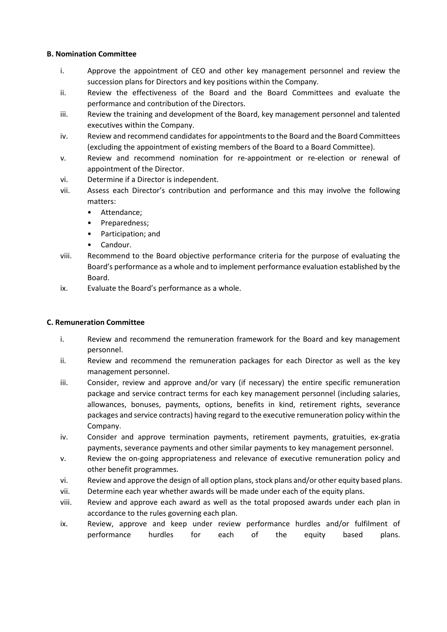## **B. Nomination Committee**

- i. Approve the appointment of CEO and other key management personnel and review the succession plans for Directors and key positions within the Company.
- ii. Review the effectiveness of the Board and the Board Committees and evaluate the performance and contribution of the Directors.
- iii. Review the training and development of the Board, key management personnel and talented executives within the Company.
- iv. Review and recommend candidates for appointments to the Board and the Board Committees (excluding the appointment of existing members of the Board to a Board Committee).
- v. Review and recommend nomination for re-appointment or re-election or renewal of appointment of the Director.
- vi. Determine if a Director is independent.
- vii. Assess each Director's contribution and performance and this may involve the following matters:
	- Attendance;
	- Preparedness;
	- Participation; and
	- Candour.
- viii. Recommend to the Board objective performance criteria for the purpose of evaluating the Board's performance as a whole and to implement performance evaluation established by the Board.
- ix. Evaluate the Board's performance as a whole.

# **C. Remuneration Committee**

- i. Review and recommend the remuneration framework for the Board and key management personnel.
- ii. Review and recommend the remuneration packages for each Director as well as the key management personnel.
- iii. Consider, review and approve and/or vary (if necessary) the entire specific remuneration package and service contract terms for each key management personnel (including salaries, allowances, bonuses, payments, options, benefits in kind, retirement rights, severance packages and service contracts) having regard to the executive remuneration policy within the Company.
- iv. Consider and approve termination payments, retirement payments, gratuities, ex-gratia payments, severance payments and other similar payments to key management personnel.
- v. Review the on-going appropriateness and relevance of executive remuneration policy and other benefit programmes.
- vi. Review and approve the design of all option plans, stock plans and/or other equity based plans.
- vii. Determine each year whether awards will be made under each of the equity plans.
- viii. Review and approve each award as well as the total proposed awards under each plan in accordance to the rules governing each plan.
- ix. Review, approve and keep under review performance hurdles and/or fulfilment of performance hurdles for each of the equity based plans.